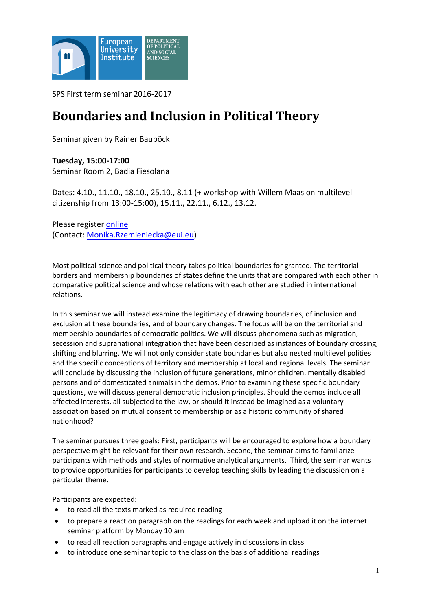

SPS First term seminar 2016-2017

# **Boundaries and Inclusion in Political Theory**

Seminar given by Rainer Bauböck

**Tuesday, 15:00-17:00** Seminar Room 2, Badia Fiesolana

Dates: 4.10., 11.10., 18.10., 25.10., 8.11 (+ workshop with Willem Maas on multilevel citizenship from 13:00-15:00), 15.11., 22.11., 6.12., 13.12.

Please register [online](http://www.eui.eu/DepartmentsAndCentres/PoliticalAndSocialSciences/ResearchAndTeaching/Seminars/Registration.aspx) (Contact: [Monika.Rzemieniecka@eui.eu\)](mailto:Monika.Rzemieniecka@eui.eu)

Most political science and political theory takes political boundaries for granted. The territorial borders and membership boundaries of states define the units that are compared with each other in comparative political science and whose relations with each other are studied in international relations.

In this seminar we will instead examine the legitimacy of drawing boundaries, of inclusion and exclusion at these boundaries, and of boundary changes. The focus will be on the territorial and membership boundaries of democratic polities. We will discuss phenomena such as migration, secession and supranational integration that have been described as instances of boundary crossing, shifting and blurring. We will not only consider state boundaries but also nested multilevel polities and the specific conceptions of territory and membership at local and regional levels. The seminar will conclude by discussing the inclusion of future generations, minor children, mentally disabled persons and of domesticated animals in the demos. Prior to examining these specific boundary questions, we will discuss general democratic inclusion principles. Should the demos include all affected interests, all subjected to the law, or should it instead be imagined as a voluntary association based on mutual consent to membership or as a historic community of shared nationhood?

The seminar pursues three goals: First, participants will be encouraged to explore how a boundary perspective might be relevant for their own research. Second, the seminar aims to familiarize participants with methods and styles of normative analytical arguments. Third, the seminar wants to provide opportunities for participants to develop teaching skills by leading the discussion on a particular theme.

Participants are expected:

- to read all the texts marked as required reading
- to prepare a reaction paragraph on the readings for each week and upload it on the internet seminar platform by Monday 10 am
- to read all reaction paragraphs and engage actively in discussions in class
- to introduce one seminar topic to the class on the basis of additional readings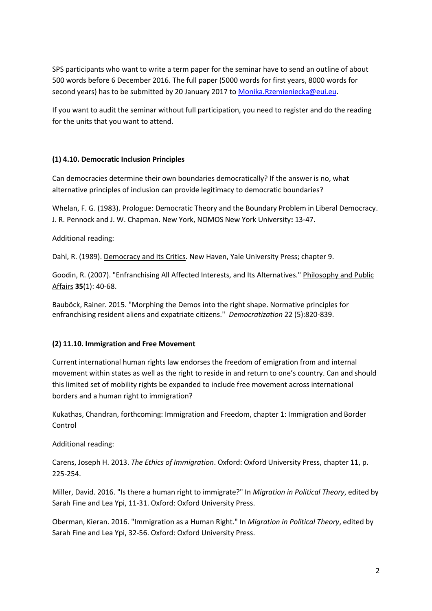SPS participants who want to write a term paper for the seminar have to send an outline of about 500 words before 6 December 2016. The full paper (5000 words for first years, 8000 words for second years) has to be submitted by 20 January 2017 to [Monika.Rzemieniecka@eui.eu.](mailto:Monika.Rzemieniecka@eui.eu)

If you want to audit the seminar without full participation, you need to register and do the reading for the units that you want to attend.

## **(1) 4.10. Democratic Inclusion Principles**

Can democracies determine their own boundaries democratically? If the answer is no, what alternative principles of inclusion can provide legitimacy to democratic boundaries?

Whelan, F. G. (1983). Prologue: Democratic Theory and the Boundary Problem in Liberal Democracy. J. R. Pennock and J. W. Chapman. New York, NOMOS New York University**:** 13-47.

Additional reading:

Dahl, R. (1989). Democracy and Its Critics. New Haven, Yale University Press; chapter 9.

Goodin, R. (2007). "Enfranchising All Affected Interests, and Its Alternatives." Philosophy and Public Affairs **35**(1): 40-68.

Bauböck, Rainer. 2015. "Morphing the Demos into the right shape. Normative principles for enfranchising resident aliens and expatriate citizens." *Democratization* 22 (5):820-839.

#### **(2) 11.10. Immigration and Free Movement**

Current international human rights law endorses the freedom of emigration from and internal movement within states as well as the right to reside in and return to one's country. Can and should this limited set of mobility rights be expanded to include free movement across international borders and a human right to immigration?

Kukathas, Chandran, forthcoming: Immigration and Freedom, chapter 1: Immigration and Border Control

Additional reading:

Carens, Joseph H. 2013. *The Ethics of Immigration*. Oxford: Oxford University Press, chapter 11, p. 225-254.

Miller, David. 2016. "Is there a human right to immigrate?" In *Migration in Political Theory*, edited by Sarah Fine and Lea Ypi, 11-31. Oxford: Oxford University Press.

Oberman, Kieran. 2016. "Immigration as a Human Right." In *Migration in Political Theory*, edited by Sarah Fine and Lea Ypi, 32-56. Oxford: Oxford University Press.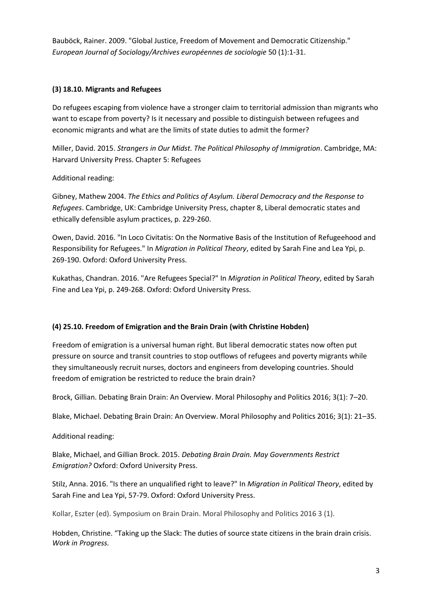Bauböck, Rainer. 2009. "Global Justice, Freedom of Movement and Democratic Citizenship." *European Journal of Sociology/Archives européennes de sociologie* 50 (1):1-31.

## **(3) 18.10. Migrants and Refugees**

Do refugees escaping from violence have a stronger claim to territorial admission than migrants who want to escape from poverty? Is it necessary and possible to distinguish between refugees and economic migrants and what are the limits of state duties to admit the former?

Miller, David. 2015. *Strangers in Our Midst. The Political Philosophy of Immigration*. Cambridge, MA: Harvard University Press. Chapter 5: Refugees

## Additional reading:

Gibney, Mathew 2004. *The Ethics and Politics of Asylum. Liberal Democracy and the Response to Refugees*. Cambridge, UK: Cambridge University Press, chapter 8, Liberal democratic states and ethically defensible asylum practices, p. 229-260.

Owen, David. 2016. "In Loco Civitatis: On the Normative Basis of the Institution of Refugeehood and Responsibility for Refugees." In *Migration in Political Theory*, edited by Sarah Fine and Lea Ypi, p. 269-190. Oxford: Oxford University Press.

Kukathas, Chandran. 2016. "Are Refugees Special?" In *Migration in Political Theory*, edited by Sarah Fine and Lea Ypi, p. 249-268. Oxford: Oxford University Press.

# **(4) 25.10. Freedom of Emigration and the Brain Drain (with Christine Hobden)**

Freedom of emigration is a universal human right. But liberal democratic states now often put pressure on source and transit countries to stop outflows of refugees and poverty migrants while they simultaneously recruit nurses, doctors and engineers from developing countries. Should freedom of emigration be restricted to reduce the brain drain?

Brock, Gillian. Debating Brain Drain: An Overview. Moral Philosophy and Politics 2016; 3(1): 7–20.

Blake, Michael. Debating Brain Drain: An Overview. Moral Philosophy and Politics 2016; 3(1): 21–35.

Additional reading:

Blake, Michael, and Gillian Brock. 2015. *Debating Brain Drain. May Governments Restrict Emigration?* Oxford: Oxford University Press.

Stilz, Anna. 2016. "Is there an unqualified right to leave?" In *Migration in Political Theory*, edited by Sarah Fine and Lea Ypi, 57-79. Oxford: Oxford University Press.

Kollar, Eszter (ed). Symposium on Brain Drain. Moral Philosophy and Politics 2016 3 (1).

Hobden, Christine. "Taking up the Slack: The duties of source state citizens in the brain drain crisis. *Work in Progress.*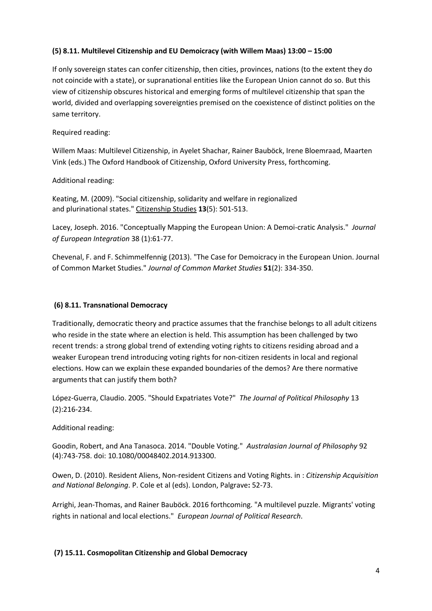## **(5) 8.11. Multilevel Citizenship and EU Demoicracy (with Willem Maas) 13:00 – 15:00**

If only sovereign states can confer citizenship, then cities, provinces, nations (to the extent they do not coincide with a state), or supranational entities like the European Union cannot do so. But this view of citizenship obscures historical and emerging forms of multilevel citizenship that span the world, divided and overlapping sovereignties premised on the coexistence of distinct polities on the same territory.

Required reading:

Willem Maas: Multilevel Citizenship, in Ayelet Shachar, Rainer Bauböck, Irene Bloemraad, Maarten Vink (eds.) The Oxford Handbook of Citizenship, Oxford University Press, forthcoming.

Additional reading:

Keating, M. (2009). "Social citizenship, solidarity and welfare in regionalized and plurinational states." Citizenship Studies **13**(5): 501-513.

Lacey, Joseph. 2016. "Conceptually Mapping the European Union: A Demoi-cratic Analysis." *Journal of European Integration* 38 (1):61-77.

Chevenal, F. and F. Schimmelfennig (2013). "The Case for Demoicracy in the European Union. Journal of Common Market Studies." *Journal of Common Market Studies* **51**(2): 334-350.

#### **(6) 8.11. Transnational Democracy**

Traditionally, democratic theory and practice assumes that the franchise belongs to all adult citizens who reside in the state where an election is held. This assumption has been challenged by two recent trends: a strong global trend of extending voting rights to citizens residing abroad and a weaker European trend introducing voting rights for non-citizen residents in local and regional elections. How can we explain these expanded boundaries of the demos? Are there normative arguments that can justify them both?

López-Guerra, Claudio. 2005. "Should Expatriates Vote?" *The Journal of Political Philosophy* 13 (2):216-234.

Additional reading:

Goodin, Robert, and Ana Tanasoca. 2014. "Double Voting." *Australasian Journal of Philosophy* 92 (4):743-758. doi: 10.1080/00048402.2014.913300.

Owen, D. (2010). Resident Aliens, Non-resident Citizens and Voting Rights. in : *Citizenship Acquisition and National Belonging*. P. Cole et al (eds). London, Palgrave**:** 52-73.

Arrighi, Jean-Thomas, and Rainer Bauböck. 2016 forthcoming. "A multilevel puzzle. Migrants' voting rights in national and local elections." *European Journal of Political Research*.

#### **(7) 15.11. Cosmopolitan Citizenship and Global Democracy**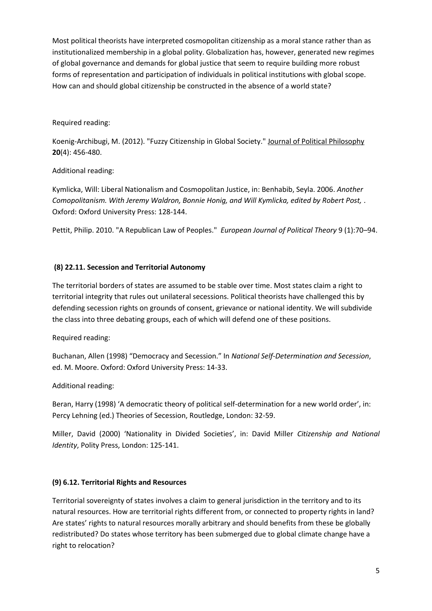Most political theorists have interpreted cosmopolitan citizenship as a moral stance rather than as institutionalized membership in a global polity. Globalization has, however, generated new regimes of global governance and demands for global justice that seem to require building more robust forms of representation and participation of individuals in political institutions with global scope. How can and should global citizenship be constructed in the absence of a world state?

#### Required reading:

Koenig-Archibugi, M. (2012). "Fuzzy Citizenship in Global Society." Journal of Political Philosophy **20**(4): 456-480.

#### Additional reading:

Kymlicka, Will: Liberal Nationalism and Cosmopolitan Justice, in: Benhabib, Seyla. 2006. *Another Comopolitanism. With Jeremy Waldron, Bonnie Honig, and Will Kymlicka, edited by Robert Post,* . Oxford: Oxford University Press: 128-144.

Pettit, Philip. 2010. "A Republican Law of Peoples." *European Journal of Political Theory* 9 (1):70–94.

#### **(8) 22.11. Secession and Territorial Autonomy**

The territorial borders of states are assumed to be stable over time. Most states claim a right to territorial integrity that rules out unilateral secessions. Political theorists have challenged this by defending secession rights on grounds of consent, grievance or national identity. We will subdivide the class into three debating groups, each of which will defend one of these positions.

#### Required reading:

Buchanan, Allen (1998) "Democracy and Secession." In *National Self-Determination and Secession*, ed. M. Moore. Oxford: Oxford University Press: 14-33.

#### Additional reading:

Beran, Harry (1998) 'A democratic theory of political self-determination for a new world order', in: Percy Lehning (ed.) Theories of Secession, Routledge, London: 32-59.

Miller, David (2000) 'Nationality in Divided Societies', in: David Miller *Citizenship and National Identity*, Polity Press, London: 125-141.

#### **(9) 6.12. Territorial Rights and Resources**

Territorial sovereignty of states involves a claim to general jurisdiction in the territory and to its natural resources. How are territorial rights different from, or connected to property rights in land? Are states' rights to natural resources morally arbitrary and should benefits from these be globally redistributed? Do states whose territory has been submerged due to global climate change have a right to relocation?